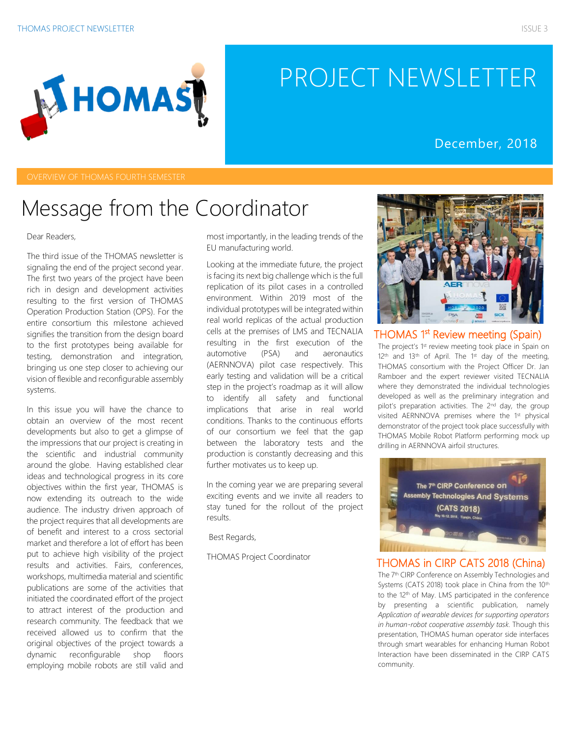# PROJECT NEWSLETTER

### December, 2018

### Message from the Coordinator

#### Dear Readers,

The third issue of the THOMAS newsletter is signaling the end of the project second year. The first two years of the project have been rich in design and development activities resulting to the first version of THOMAS Operation Production Station (OPS). For the entire consortium this milestone achieved signifies the transition from the design board to the first prototypes being available for testing, demonstration and integration, bringing us one step closer to achieving our vision of flexible and reconfigurable assembly systems.

In this issue you will have the chance to obtain an overview of the most recent developments but also to get a glimpse of the impressions that our project is creating in the scientific and industrial community around the globe. Having established clear ideas and technological progress in its core objectives within the first year, THOMAS is now extending its outreach to the wide audience. The industry driven approach of the project requires that all developments are of benefit and interest to a cross sectorial market and therefore a lot of effort has been put to achieve high visibility of the project results and activities. Fairs, conferences, workshops, multimedia material and scientific publications are some of the activities that initiated the coordinated effort of the project to attract interest of the production and research community. The feedback that we received allowed us to confirm that the original objectives of the project towards a dynamic reconfigurable shop floors employing mobile robots are still valid and

most importantly, in the leading trends of the EU manufacturing world.

Looking at the immediate future, the project is facing its next big challenge which is the full replication of its pilot cases in a controlled environment. Within 2019 most of the individual prototypes will be integrated within real world replicas of the actual production cells at the premises of LMS and TECNALIA resulting in the first execution of the automotive (PSA) and aeronautics (AERNNOVA) pilot case respectively. This early testing and validation will be a critical step in the project's roadmap as it will allow to identify all safety and functional implications that arise in real world conditions. Thanks to the continuous efforts of our consortium we feel that the gap between the laboratory tests and the production is constantly decreasing and this further motivates us to keep up.

In the coming year we are preparing several exciting events and we invite all readers to stay tuned for the rollout of the project results.

Best Regards,

THOMAS Project Coordinator



THOMAS <sup>1st</sup> Review meeting (Spain) The project's 1st review meeting took place in Spain on  $12<sup>th</sup>$  and  $13<sup>th</sup>$  of April. The  $1<sup>st</sup>$  day of the meeting, THOMAS consortium with the Project Officer Dr. Jan Ramboer and the expert reviewer visited TECNALIA where they demonstrated the individual technologies developed as well as the preliminary integration and pilot's preparation activities. The 2<sup>nd</sup> day, the group visited AERNNOVA premises where the 1st physical demonstrator of the project took place successfully with THOMAS Mobile Robot Platform performing mock up drilling in AERNNOVA airfoil structures.



#### THOMAS in CIRP CATS 2018 (China)

The 7<sup>th</sup> CIRP Conference on Assembly Technologies and Systems (CATS 2018) took place in China from the 10<sup>th</sup> to the 12<sup>th</sup> of May. LMS participated in the conference by presenting a scientific publication, namely *Application of wearable devices for supporting operators in human-robot cooperative assembly task.* Though this presentation, THOMAS human operator side interfaces through smart wearables for enhancing Human Robot Interaction have been disseminated in the CIRP CATS community.

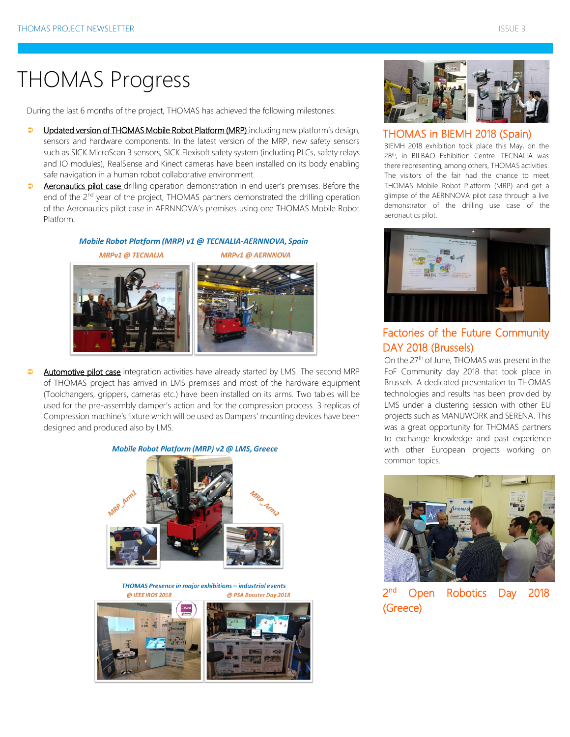# THOMAS Progress

During the last 6 months of the project, THOMAS has achieved the following milestones:

- $\bullet$ Updated version of THOMAS Mobile Robot Platform (MRP) including new platform's design, sensors and hardware components. In the latest version of the MRP, new safety sensors such as SICK MicroScan 3 sensors, SICK Flexisoft safety system (including PLCs, safety relays and IO modules), RealSense and Kinect cameras have been installed on its body enabling safe navigation in a human robot collaborative environment.
- $\bullet$ Aeronautics pilot case drilling operation demonstration in end user's premises. Before the end of the 2<sup>nd</sup> year of the project, THOMAS partners demonstrated the drilling operation of the Aeronautics pilot case in AERNNOVA's premises using one THOMAS Mobile Robot Platform.

#### Mobile Robot Platform (MRP) v1 @ TECNALIA-AERNNOVA, Spain **MRPv1 @ TECNALIA MRPv1 @ AERNNOVA**



 $\Rightarrow$ Automotive pilot case integration activities have already started by LMS. The second MRP of THOMAS project has arrived in LMS premises and most of the hardware equipment (Toolchangers, grippers, cameras etc.) have been installed on its arms. Two tables will be used for the pre-assembly damper's action and for the compression process. 3 replicas of Compression machine's fixture which will be used as Dampers' mounting devices have been designed and produced also by LMS.

#### Mobile Robot Platform (MRP) v2 @ LMS, Greece



#### THOMAS Presence in major exhibitions - industrial events @ IEEE IROS 2018 @ PSA Booster Day 2018





### THOMAS in BIEMH 2018 (Spain)

BIEMH 2018 exhibition took place this May, on the 28th, in BILBAO Exhibition Centre. TECNALIA was there representing, among others, THOMAS activities. The visitors of the fair had the chance to meet THOMAS Mobile Robot Platform (MRP) and get a glimpse of the AERNNOVA pilot case through a live demonstrator of the drilling use case of the aeronautics pilot.



### Factories of the Future Community DAY 2018 (Brussels)

On the 27<sup>th</sup> of June, THOMAS was present in the FoF Community day 2018 that took place in Brussels. A dedicated presentation to THOMAS technologies and results has been provided by LMS under a clustering session with other EU projects such as MANUWORK and SERENA. This was a great opportunity for THOMAS partners to exchange knowledge and past experience with other European projects working on common topics.



2 nd Open Robotics Day 2018 (Greece)